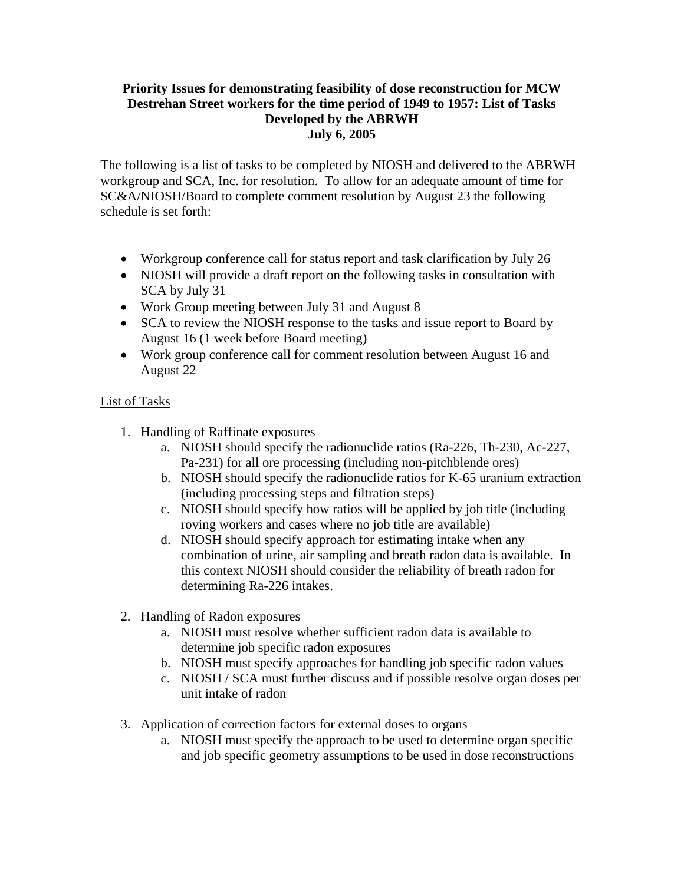## **Priority Issues for demonstrating feasibility of dose reconstruction for MCW Destrehan Street workers for the time period of 1949 to 1957: List of Tasks Developed by the ABRWH July 6, 2005**

The following is a list of tasks to be completed by NIOSH and delivered to the ABRWH workgroup and SCA, Inc. for resolution. To allow for an adequate amount of time for SC&A/NIOSH/Board to complete comment resolution by August 23 the following schedule is set forth:

- Workgroup conference call for status report and task clarification by July 26
- NIOSH will provide a draft report on the following tasks in consultation with SCA by July 31
- Work Group meeting between July 31 and August 8
- SCA to review the NIOSH response to the tasks and issue report to Board by August 16 (1 week before Board meeting)
- Work group conference call for comment resolution between August 16 and August 22

## List of Tasks

- 1. Handling of Raffinate exposures
	- a. NIOSH should specify the radionuclide ratios (Ra-226, Th-230, Ac-227, Pa-231) for all ore processing (including non-pitchblende ores)
	- b. NIOSH should specify the radionuclide ratios for K-65 uranium extraction (including processing steps and filtration steps)
	- c. NIOSH should specify how ratios will be applied by job title (including roving workers and cases where no job title are available)
	- d. NIOSH should specify approach for estimating intake when any combination of urine, air sampling and breath radon data is available. In this context NIOSH should consider the reliability of breath radon for determining Ra-226 intakes.
- 2. Handling of Radon exposures
	- a. NIOSH must resolve whether sufficient radon data is available to determine job specific radon exposures
	- b. NIOSH must specify approaches for handling job specific radon values
	- c. NIOSH / SCA must further discuss and if possible resolve organ doses per unit intake of radon
- 3. Application of correction factors for external doses to organs
	- a. NIOSH must specify the approach to be used to determine organ specific and job specific geometry assumptions to be used in dose reconstructions